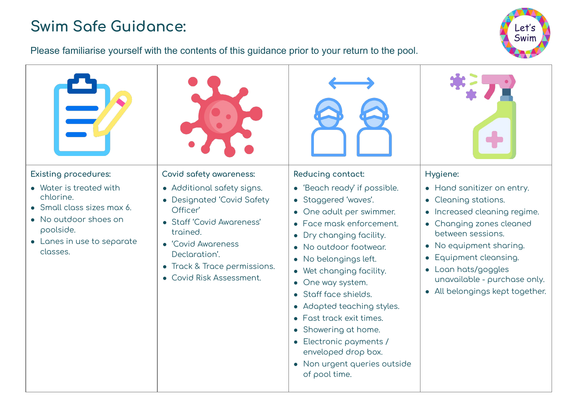## **Swim Saÿe Guidance:**



## Please familiarise yourself with the contents of this guidance prior to your return to the pool.

| <b>Existing procedures:</b><br>• Water is treated with                                                                  | Covid safety awareness:<br>• Additional safety signs.                                                                                                                              | Reducing contact:<br>• 'Beach ready' if possible.                                                                                                                                                                                                                                                                                                                                                                          | Hygiene:<br>• Hand sanitizer on entry.                                                                                                                                                                                                                          |
|-------------------------------------------------------------------------------------------------------------------------|------------------------------------------------------------------------------------------------------------------------------------------------------------------------------------|----------------------------------------------------------------------------------------------------------------------------------------------------------------------------------------------------------------------------------------------------------------------------------------------------------------------------------------------------------------------------------------------------------------------------|-----------------------------------------------------------------------------------------------------------------------------------------------------------------------------------------------------------------------------------------------------------------|
| chlorine.<br>• Small class sizes max 6.<br>• No outdoor shoes on<br>poolside.<br>• Lanes in use to separate<br>classes. | • Designated 'Covid Safety<br>Officer'<br>• Staff 'Covid Awareness'<br>trained.<br>• 'Covid Awareness<br>Declaration'.<br>• Track & Trace permissions.<br>• Covid Risk Assessment. | • Staggered 'waves'.<br>• One adult per swimmer.<br>• Face mask enforcement.<br>• Dry changing facility.<br>• No outdoor footwear.<br>· No belongings left.<br>• Wet changing facility.<br>• One way system.<br>• Staff face shields.<br>• Adapted teaching styles.<br>• Fast track exit times.<br>• Showering at home.<br>• Electronic payments /<br>enveloped drop box.<br>• Non urgent queries outside<br>of pool time. | • Cleaning stations.<br>• Increased cleaning regime.<br>• Changing zones cleaned<br>between sessions.<br>• No equipment sharing.<br>Equipment cleansing.<br>$\bullet$<br>• Loan hats/goggles<br>unavailable - purchase only.<br>• All belongings kept together. |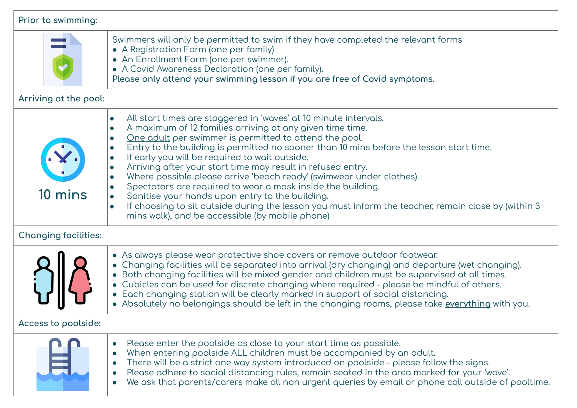| Prior to swimming:          |                                                                                                                                                                                                                                                                                                                                                                                                                                                                                                                                                                                                                                                                                                                                                                                                                                                                              |  |
|-----------------------------|------------------------------------------------------------------------------------------------------------------------------------------------------------------------------------------------------------------------------------------------------------------------------------------------------------------------------------------------------------------------------------------------------------------------------------------------------------------------------------------------------------------------------------------------------------------------------------------------------------------------------------------------------------------------------------------------------------------------------------------------------------------------------------------------------------------------------------------------------------------------------|--|
|                             | Swimmers will only be permitted to swim if they have completed the relevant forms<br>• A Registration Form (one per family).<br>• An Enrollment Form (one per swimmer).<br>• A Covid Awareness Declaration (one per family).<br>Please only attend your swimming lesson if you are free of Covid symptoms.                                                                                                                                                                                                                                                                                                                                                                                                                                                                                                                                                                   |  |
| Arriving at the pool:       |                                                                                                                                                                                                                                                                                                                                                                                                                                                                                                                                                                                                                                                                                                                                                                                                                                                                              |  |
| 10 mins                     | All start times are staggered in 'waves' at 10 minute intervals.<br>$\bullet$<br>A maximum of 12 families arriving at any given time time.<br>$\bullet$<br>One adult per swimmer is permitted to attend the pool.<br>$\bullet$<br>Entry to the building is permitted no sooner than 10 mins before the lesson start time.<br>$\bullet$<br>If early you will be required to wait outside.<br>$\bullet$<br>Arriving after your start time may result in refused entry.<br>$\bullet$<br>Where possible please arrive 'beach ready' (swimwear under clothes).<br>$\bullet$<br>Spectators are required to wear a mask inside the building.<br>$\bullet$<br>Sanitise your hands upon entry to the building.<br>$\bullet$<br>If choosing to sit outside during the lesson you must inform the teacher, remain close by (within 3<br>mins walk), and be accessible (by mobile phone) |  |
| <b>Changing facilities:</b> |                                                                                                                                                                                                                                                                                                                                                                                                                                                                                                                                                                                                                                                                                                                                                                                                                                                                              |  |
|                             | • As always please wear protective shoe covers or remove outdoor footwear.<br>• Changing facilities will be separated into arrival (dry changing) and departure (wet changing).<br>• Both changing facilities will be mixed gender and children must be supervised at all times.<br>• Cubicles can be used for discrete changing where required - please be mindful of others.<br>• Each changing station will be clearly marked in support of social distancing.<br>• Absolutely no belongings should be left in the changing rooms, please take everything with you.                                                                                                                                                                                                                                                                                                       |  |
| Access to poolside:         |                                                                                                                                                                                                                                                                                                                                                                                                                                                                                                                                                                                                                                                                                                                                                                                                                                                                              |  |
|                             | Please enter the poolside as close to your start time as possible.<br>When entering poolside ALL children must be accompanied by an adult.<br>There will be a strict one way system introduced on poolside - please follow the signs.<br>Please adhere to social distancing rules, remain seated in the area marked for your 'wave'.<br>We ask that parents/carers make all non urgent queries by email or phone call outside of pooltime.<br>$\bullet$                                                                                                                                                                                                                                                                                                                                                                                                                      |  |